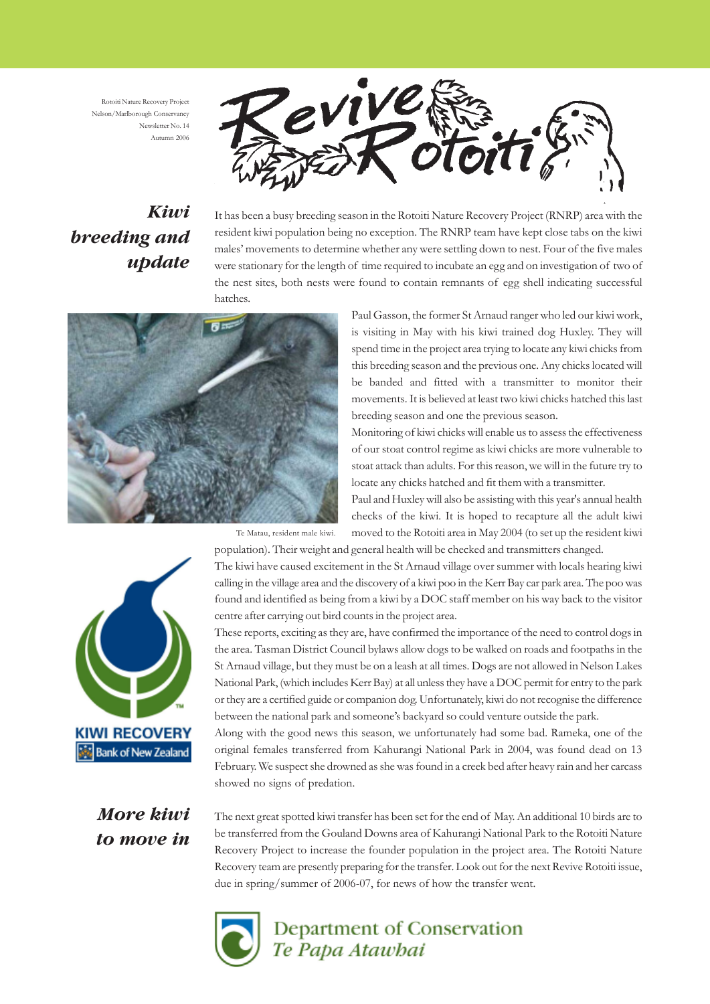Rotoiti Nature Recovery Project Nelson/Marlborough Conservancy Newsletter No. 14 Autumn 2006



# *Kiwi breeding and update*

It has been a busy breeding season in the Rotoiti Nature Recovery Project (RNRP) area with the resident kiwi population being no exception. The RNRP team have kept close tabs on the kiwi males' movements to determine whether any were settling down to nest. Four of the five males were stationary for the length of time required to incubate an egg and on investigation of two of the nest sites, both nests were found to contain remnants of egg shell indicating successful hatches.



Paul Gasson, the former St Arnaud ranger who led our kiwi work, is visiting in May with his kiwi trained dog Huxley. They will spend time in the project area trying to locate any kiwi chicks from this breeding season and the previous one. Any chicks located will be banded and fitted with a transmitter to monitor their movements. It is believed at least two kiwi chicks hatched this last breeding season and one the previous season.

Monitoring of kiwi chicks will enable us to assess the effectiveness of our stoat control regime as kiwi chicks are more vulnerable to stoat attack than adults. For this reason, we will in the future try to locate any chicks hatched and fit them with a transmitter.

Paul and Huxley will also be assisting with this year's annual health checks of the kiwi. It is hoped to recapture all the adult kiwi moved to the Rotoiti area in May 2004 (to set up the resident kiwi population). Their weight and general health will be checked and transmitters changed.

Te Matau, resident male kiwi.



The kiwi have caused excitement in the St Arnaud village over summer with locals hearing kiwi calling in the village area and the discovery of a kiwi poo in the Kerr Bay car park area. The poo was found and identified as being from a kiwi by a DOC staff member on his way back to the visitor centre after carrying out bird counts in the project area.

These reports, exciting as they are, have confirmed the importance of the need to control dogs in the area. Tasman District Council bylaws allow dogs to be walked on roads and footpaths in the St Arnaud village, but they must be on a leash at all times. Dogs are not allowed in Nelson Lakes National Park, (which includes Kerr Bay) at all unless they have a DOC permit for entry to the park or they are a certified guide or companion dog. Unfortunately, kiwi do not recognise the difference between the national park and someone's backyard so could venture outside the park.

Along with the good news this season, we unfortunately had some bad. Rameka, one of the original females transferred from Kahurangi National Park in 2004, was found dead on 13 February. We suspect she drowned as she was found in a creek bed after heavy rain and her carcass showed no signs of predation.

*More kiwi to move in*

The next great spotted kiwi transfer has been set for the end of May. An additional 10 birds are to be transferred from the Gouland Downs area of Kahurangi National Park to the Rotoiti Nature Recovery Project to increase the founder population in the project area. The Rotoiti Nature Recovery team are presently preparing for the transfer. Look out for the next Revive Rotoiti issue, due in spring/summer of 2006-07, for news of how the transfer went.



Department of Conservation Te Papa Atawbai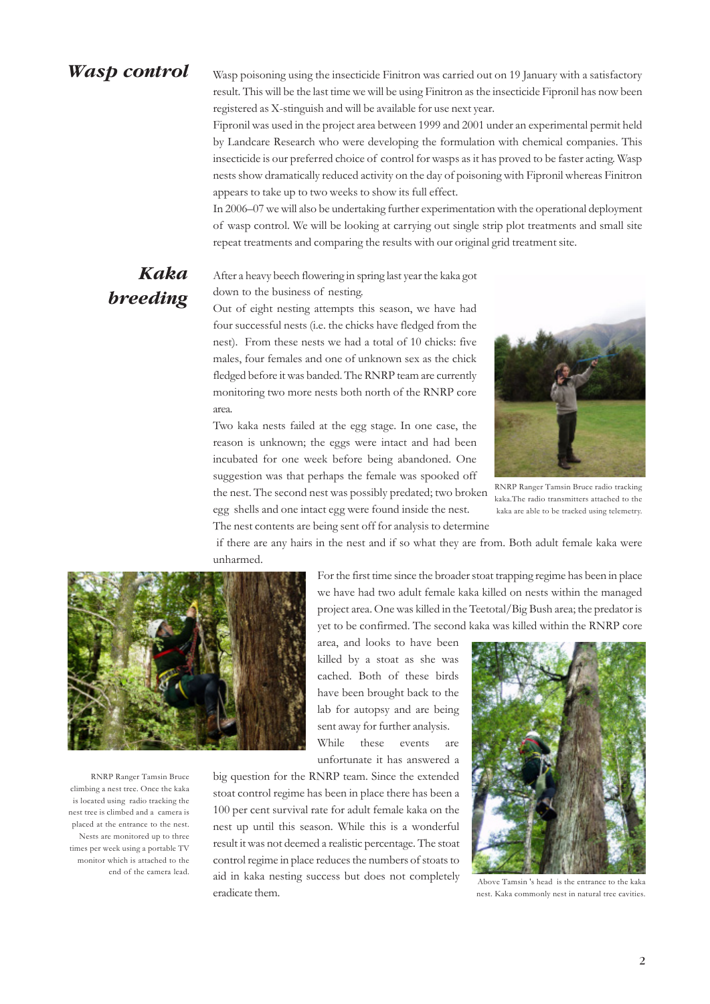#### *Wasp control*

*Kaka*

*breeding*

Wasp poisoning using the insecticide Finitron was carried out on 19 January with a satisfactory result. This will be the last time we will be using Finitron as the insecticide Fipronil has now been registered as X-stinguish and will be available for use next year.

Fipronil was used in the project area between 1999 and 2001 under an experimental permit held by Landcare Research who were developing the formulation with chemical companies. This insecticide is our preferred choice of control for wasps as it has proved to be faster acting. Wasp nests show dramatically reduced activity on the day of poisoning with Fipronil whereas Finitron appears to take up to two weeks to show its full effect.

In 2006–07 we will also be undertaking further experimentation with the operational deployment of wasp control. We will be looking at carrying out single strip plot treatments and small site repeat treatments and comparing the results with our original grid treatment site.

#### After a heavy beech flowering in spring last year the kaka got down to the business of nesting.

Out of eight nesting attempts this season, we have had four successful nests (i.e. the chicks have fledged from the nest). From these nests we had a total of 10 chicks: five males, four females and one of unknown sex as the chick fledged before it was banded. The RNRP team are currently monitoring two more nests both north of the RNRP core area.

Two kaka nests failed at the egg stage. In one case, the reason is unknown; the eggs were intact and had been incubated for one week before being abandoned. One suggestion was that perhaps the female was spooked off

RNRP Ranger Tamsin Bruce radio tracking kaka.The radio transmitters attached to the kaka are able to be tracked using telemetry.

the nest. The second nest was possibly predated; two broken egg shells and one intact egg were found inside the nest. The nest contents are being sent off for analysis to determine

 if there are any hairs in the nest and if so what they are from. Both adult female kaka were unharmed.



RNRP Ranger Tamsin Bruce climbing a nest tree. Once the kaka is located using radio tracking the nest tree is climbed and a camera is placed at the entrance to the nest. Nests are monitored up to three times per week using a portable TV monitor which is attached to the end of the camera lead.

For the first time since the broader stoat trapping regime has been in place we have had two adult female kaka killed on nests within the managed project area. One was killed in the Teetotal/Big Bush area; the predator is yet to be confirmed. The second kaka was killed within the RNRP core

area, and looks to have been killed by a stoat as she was cached. Both of these birds have been brought back to the lab for autopsy and are being sent away for further analysis. While these events are unfortunate it has answered a

big question for the RNRP team. Since the extended stoat control regime has been in place there has been a 100 per cent survival rate for adult female kaka on the nest up until this season. While this is a wonderful result it was not deemed a realistic percentage. The stoat control regime in place reduces the numbers of stoats to aid in kaka nesting success but does not completely eradicate them.



 Above Tamsin 's head is the entrance to the kaka nest. Kaka commonly nest in natural tree cavities.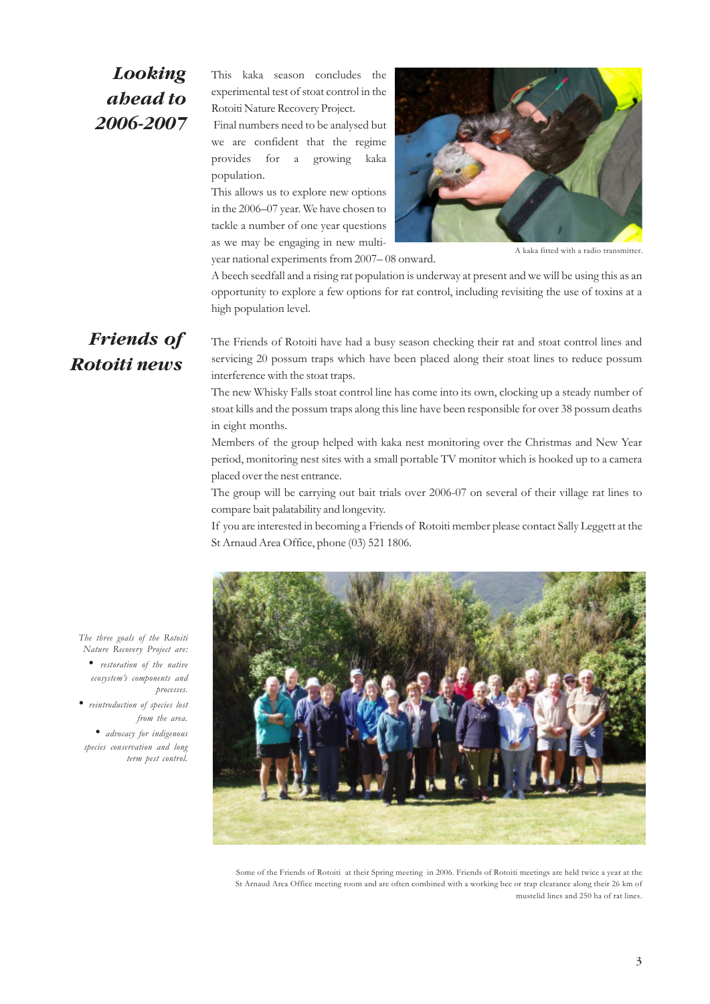### *Looking ahead to 2006-2007*

This kaka season concludes the experimental test of stoat control in the Rotoiti Nature Recovery Project.

 Final numbers need to be analysed but we are confident that the regime provides for a growing kaka population.

This allows us to explore new options in the 2006–07 year. We have chosen to tackle a number of one year questions as we may be engaging in new multiyear national experiments from 2007– 08 onward.



A kaka fitted with a radio transmitter.

A beech seedfall and a rising rat population is underway at present and we will be using this as an opportunity to explore a few options for rat control, including revisiting the use of toxins at a high population level.

#### *Friends of Rotoiti news*

The Friends of Rotoiti have had a busy season checking their rat and stoat control lines and servicing 20 possum traps which have been placed along their stoat lines to reduce possum interference with the stoat traps.

The new Whisky Falls stoat control line has come into its own, clocking up a steady number of stoat kills and the possum traps along this line have been responsible for over 38 possum deaths in eight months.

Members of the group helped with kaka nest monitoring over the Christmas and New Year period, monitoring nest sites with a small portable TV monitor which is hooked up to a camera placed over the nest entrance.

The group will be carrying out bait trials over 2006-07 on several of their village rat lines to compare bait palatability and longevity.

If you are interested in becoming a Friends of Rotoiti member please contact Sally Leggett at the St Arnaud Area Office, phone (03) 521 1806.



Some of the Friends of Rotoiti at their Spring meeting in 2006. Friends of Rotoiti meetings are held twice a year at the St Arnaud Area Office meeting room and are often combined with a working bee or trap clearance along their 26 km of mustelid lines and 250 ha of rat lines.

*The three goals of the Rotoiti Nature Recovery Project are:*

*• restoration of the native ecosystem's components and processes.*

 *• reintroduction of species lost from the area.*

 *• advocacy for indigenous species conservation and long term pest control.*